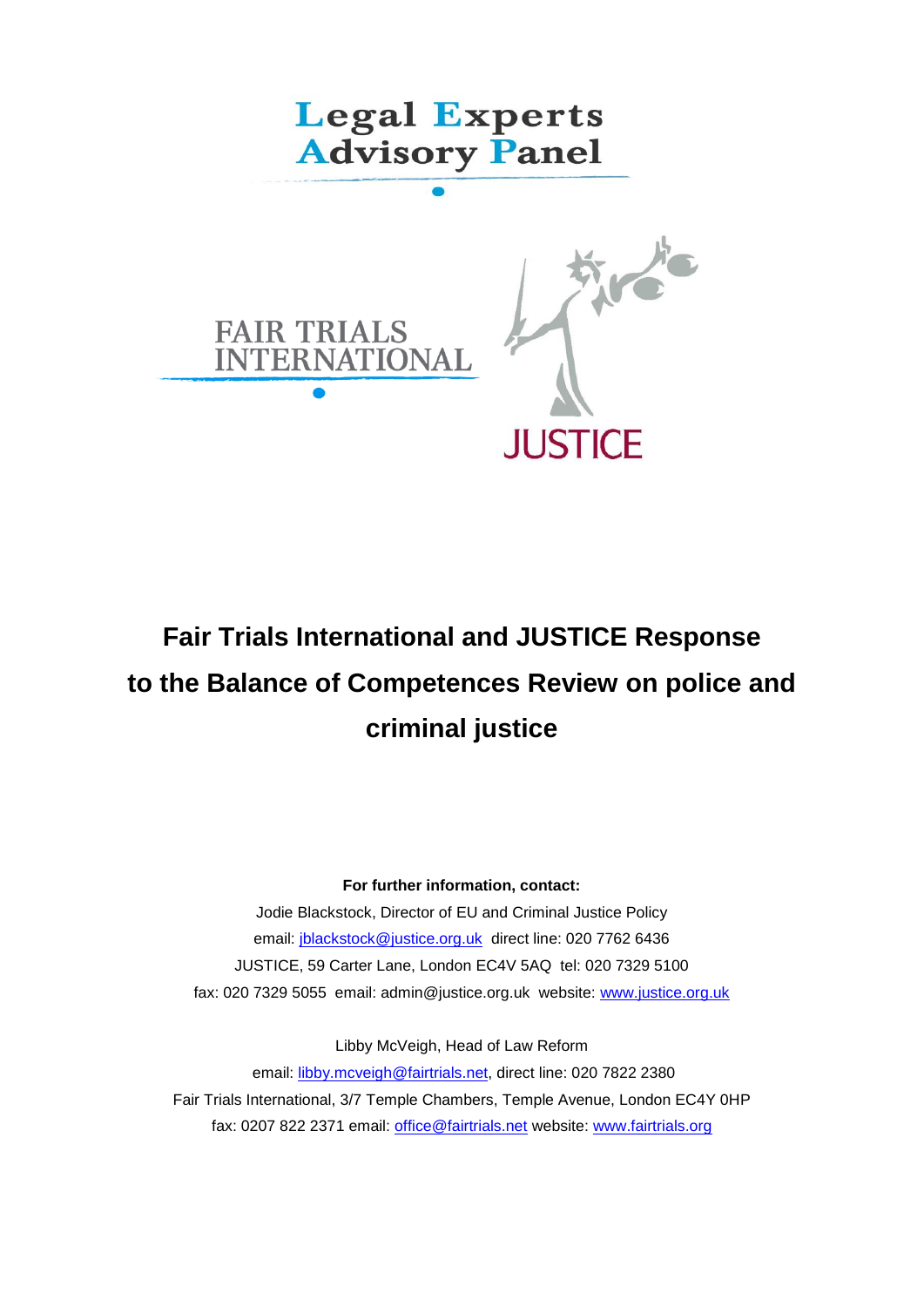

# **Fair Trials International and JUSTICE Response to the Balance of Competences Review on police and criminal justice**

#### **For further information, contact:**

Jodie Blackstock, Director of EU and Criminal Justice Policy email: [jblackstock@justice.org.uk](mailto:jblackstock@justice.org.uk) direct line: 020 7762 6436 JUSTICE, 59 Carter Lane, London EC4V 5AQ tel: 020 7329 5100 fax: 020 7329 5055 email: admin@justice.org.uk website: [www.justice.org.uk](http://www.justice.org.uk/)

Libby McVeigh, Head of Law Reform

email: [libby.mcveigh@fairtrials.net,](mailto:libby.mcveigh@fairtrials.net) direct line: 020 7822 2380 Fair Trials International, 3/7 Temple Chambers, Temple Avenue, London EC4Y 0HP fax: 0207 822 2371 email: [office@fairtrials.net](mailto:office@fairtrials.net) website: [www.fairtrials.org](http://www.fairtrials.org/)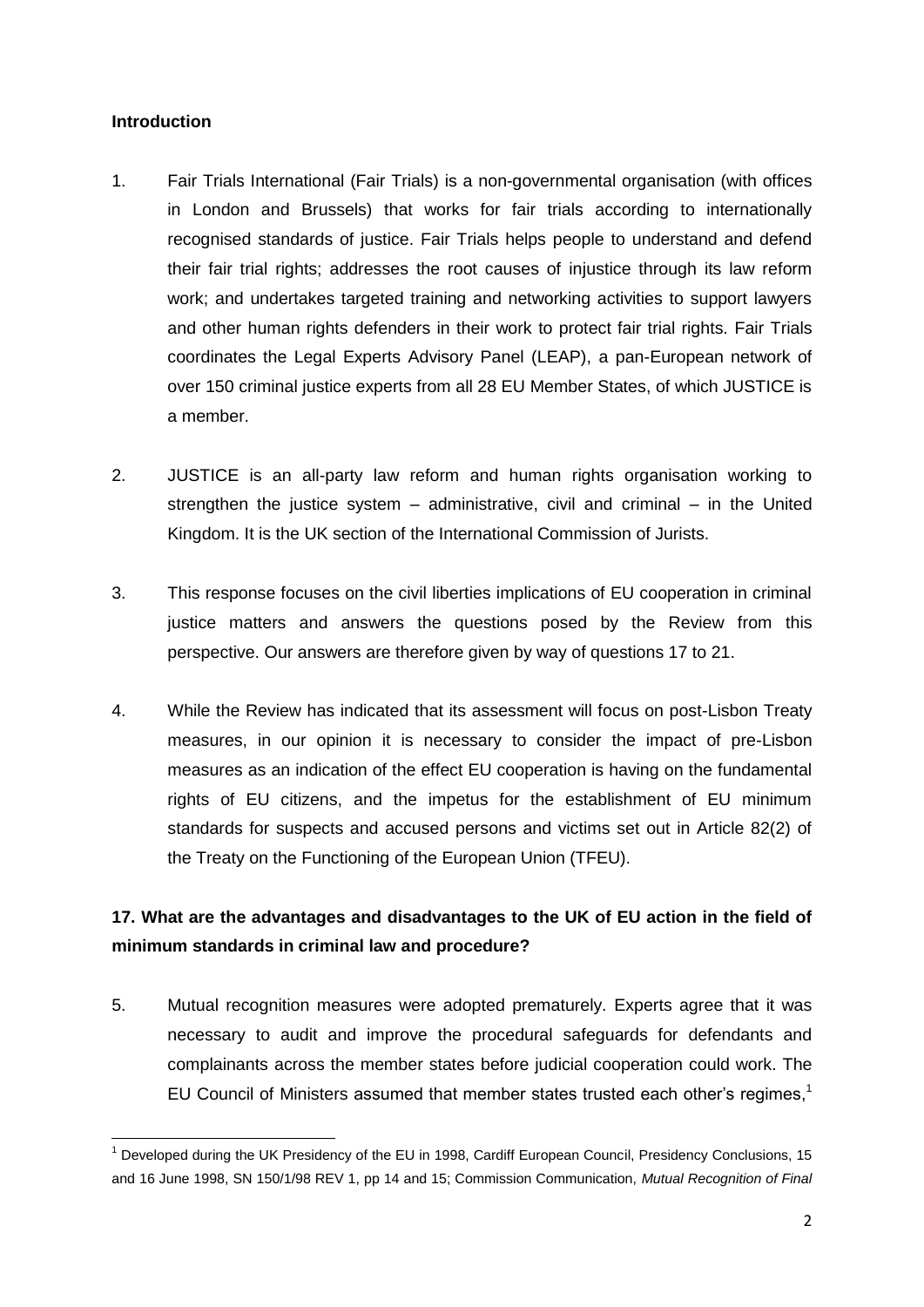#### **Introduction**

- 1. Fair Trials International (Fair Trials) is a non-governmental organisation (with offices in London and Brussels) that works for fair trials according to internationally recognised standards of justice. Fair Trials helps people to understand and defend their fair trial rights; addresses the root causes of injustice through its law reform work; and undertakes targeted training and networking activities to support lawyers and other human rights defenders in their work to protect fair trial rights. Fair Trials coordinates the Legal Experts Advisory Panel (LEAP), a pan-European network of over 150 criminal justice experts from all 28 EU Member States, of which JUSTICE is a member.
- 2. JUSTICE is an all-party law reform and human rights organisation working to strengthen the justice system – administrative, civil and criminal – in the United Kingdom. It is the UK section of the International Commission of Jurists.
- 3. This response focuses on the civil liberties implications of EU cooperation in criminal justice matters and answers the questions posed by the Review from this perspective. Our answers are therefore given by way of questions 17 to 21.
- 4. While the Review has indicated that its assessment will focus on post-Lisbon Treaty measures, in our opinion it is necessary to consider the impact of pre-Lisbon measures as an indication of the effect EU cooperation is having on the fundamental rights of EU citizens, and the impetus for the establishment of EU minimum standards for suspects and accused persons and victims set out in Article 82(2) of the Treaty on the Functioning of the European Union (TFEU).

## **17. What are the advantages and disadvantages to the UK of EU action in the field of minimum standards in criminal law and procedure?**

5. Mutual recognition measures were adopted prematurely. Experts agree that it was necessary to audit and improve the procedural safeguards for defendants and complainants across the member states before judicial cooperation could work. The EU Council of Ministers assumed that member states trusted each other's regimes, 1

 $\overline{a}$ <sup>1</sup> Developed during the UK Presidency of the EU in 1998, Cardiff European Council, Presidency Conclusions, 15 and 16 June 1998, SN 150/1/98 REV 1, pp 14 and 15; Commission Communication, *Mutual Recognition of Final*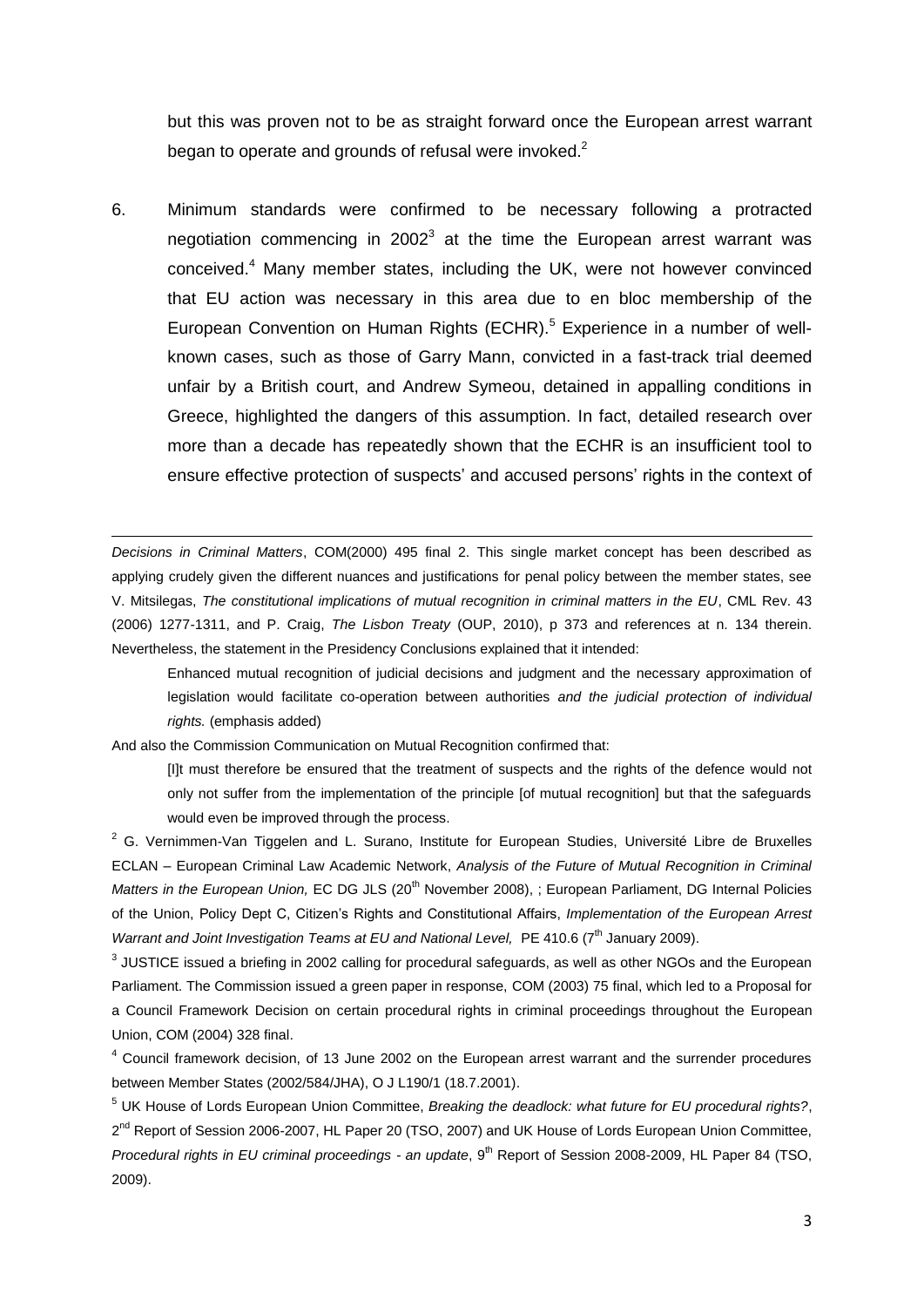but this was proven not to be as straight forward once the European arrest warrant began to operate and grounds of refusal were invoked. $2$ 

6. Minimum standards were confirmed to be necessary following a protracted negotiation commencing in 2002 $3$  at the time the European arrest warrant was conceived. <sup>4</sup> Many member states, including the UK, were not however convinced that EU action was necessary in this area due to en bloc membership of the European Convention on Human Rights (ECHR).<sup>5</sup> Experience in a number of wellknown cases, such as those of Garry Mann, convicted in a fast-track trial deemed unfair by a British court, and Andrew Symeou, detained in appalling conditions in Greece, highlighted the dangers of this assumption. In fact, detailed research over more than a decade has repeatedly shown that the ECHR is an insufficient tool to ensure effective protection of suspects' and accused persons' rights in the context of

*Decisions in Criminal Matters*, COM(2000) 495 final 2. This single market concept has been described as applying crudely given the different nuances and justifications for penal policy between the member states, see V. Mitsilegas, *The constitutional implications of mutual recognition in criminal matters in the EU*, CML Rev. 43 (2006) 1277-1311, and P. Craig, *The Lisbon Treaty* (OUP, 2010), p 373 and references at n. 134 therein. Nevertheless, the statement in the Presidency Conclusions explained that it intended:

Enhanced mutual recognition of judicial decisions and judgment and the necessary approximation of legislation would facilitate co-operation between authorities *and the judicial protection of individual rights.* (emphasis added)

And also the Commission Communication on Mutual Recognition confirmed that:

1

[I]t must therefore be ensured that the treatment of suspects and the rights of the defence would not only not suffer from the implementation of the principle [of mutual recognition] but that the safeguards would even be improved through the process.

<sup>2</sup> G. Vernimmen-Van Tiggelen and L. Surano, Institute for European Studies, Université Libre de Bruxelles ECLAN – European Criminal Law Academic Network, *Analysis of the Future of Mutual Recognition in Criminal Matters in the European Union, EC DG JLS* (20<sup>th</sup> November 2008), ; European Parliament, DG Internal Policies of the Union, Policy Dept C, Citizen's Rights and Constitutional Affairs, *Implementation of the European Arrest Warrant and Joint Investigation Teams at EU and National Level, PE 410.6 (7<sup>th</sup> January 2009).* 

 $^3$  JUSTICE issued a briefing in 2002 calling for procedural safeguards, as well as other NGOs and the European Parliament. The Commission issued a green paper in response, COM (2003) 75 final, which led to a Proposal for a Council Framework Decision on certain procedural rights in criminal proceedings throughout the European Union, COM (2004) 328 final.

<sup>4</sup> Council framework decision, of 13 June 2002 on the European arrest warrant and the surrender procedures between Member States (2002/584/JHA), O J L190/1 (18.7.2001).

<sup>5</sup> UK House of Lords European Union Committee, *Breaking the deadlock: what future for EU procedural rights?*, 2<sup>nd</sup> Report of Session 2006-2007, HL Paper 20 (TSO, 2007) and UK House of Lords European Union Committee, *Procedural rights in EU criminal proceedings - an update*, 9th Report of Session 2008-2009, HL Paper 84 (TSO, 2009).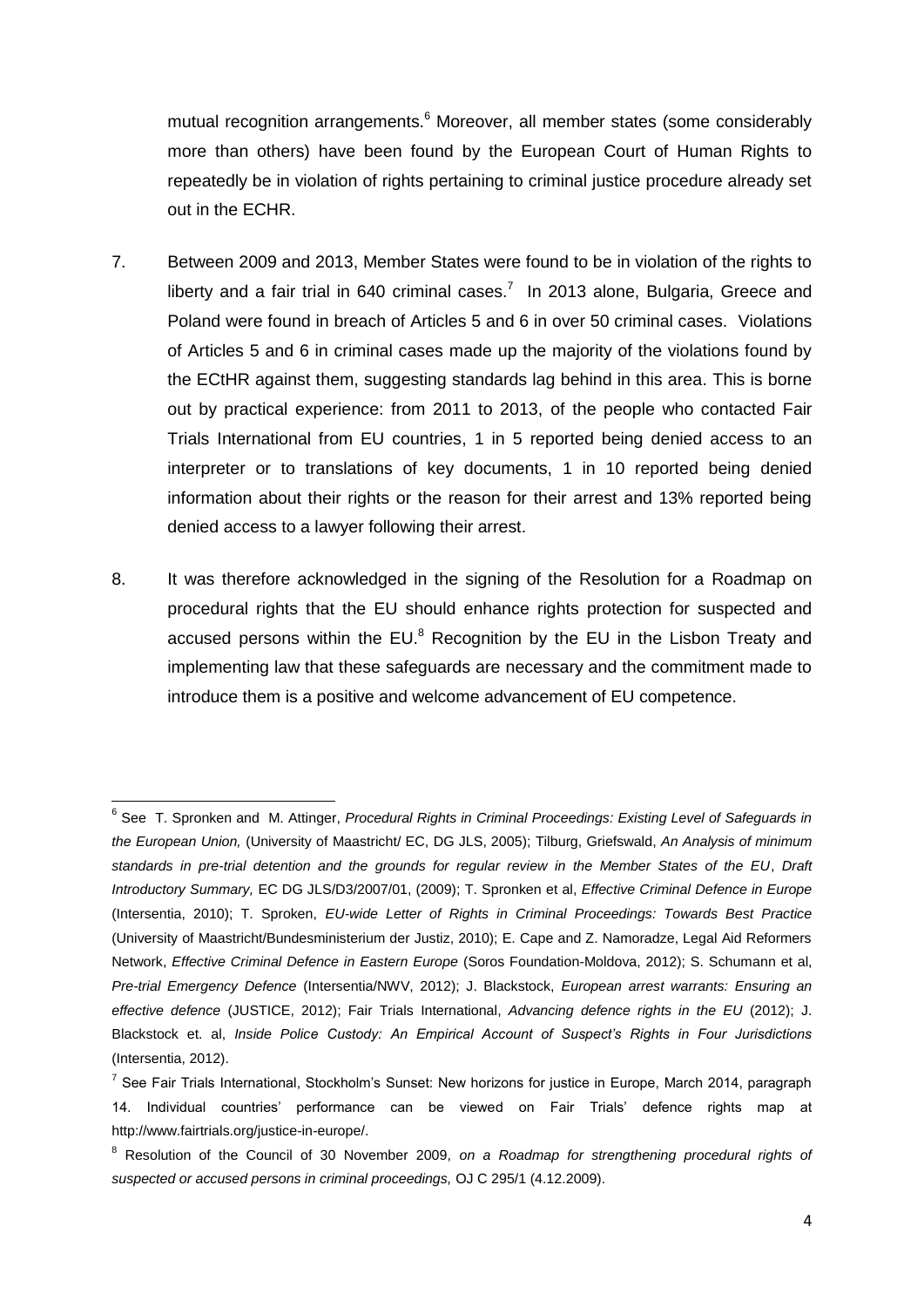mutual recognition arrangements.<sup>6</sup> Moreover, all member states (some considerably more than others) have been found by the European Court of Human Rights to repeatedly be in violation of rights pertaining to criminal justice procedure already set out in the ECHR.

- 7. Between 2009 and 2013, Member States were found to be in violation of the rights to liberty and a fair trial in 640 criminal cases.<sup>7</sup> In 2013 alone, Bulgaria, Greece and Poland were found in breach of Articles 5 and 6 in over 50 criminal cases. Violations of Articles 5 and 6 in criminal cases made up the majority of the violations found by the ECtHR against them, suggesting standards lag behind in this area. This is borne out by practical experience: from 2011 to 2013, of the people who contacted Fair Trials International from EU countries, 1 in 5 reported being denied access to an interpreter or to translations of key documents, 1 in 10 reported being denied information about their rights or the reason for their arrest and 13% reported being denied access to a lawyer following their arrest.
- 8. It was therefore acknowledged in the signing of the Resolution for a Roadmap on procedural rights that the EU should enhance rights protection for suspected and accused persons within the EU. $^8$  Recognition by the EU in the Lisbon Treaty and implementing law that these safeguards are necessary and the commitment made to introduce them is a positive and welcome advancement of EU competence.

 $\overline{\phantom{a}}$ 

<sup>&</sup>lt;sup>6</sup> See T. Spronken and M. Attinger, *Procedural Rights in Criminal Proceedings: Existing Level of Safeguards in the European Union,* (University of Maastricht/ EC, DG JLS, 2005); Tilburg, Griefswald, *An Analysis of minimum standards in pre-trial detention and the grounds for regular review in the Member States of the EU*, *Draft Introductory Summary,* EC DG JLS/D3/2007/01, (2009); T. Spronken et al, *Effective Criminal Defence in Europe*  (Intersentia, 2010); T. Sproken, *EU-wide Letter of Rights in Criminal Proceedings: Towards Best Practice* (University of Maastricht/Bundesministerium der Justiz, 2010); E. Cape and Z. Namoradze, Legal Aid Reformers Network, *Effective Criminal Defence in Eastern Europe* (Soros Foundation-Moldova, 2012); S. Schumann et al, *Pre-trial Emergency Defence* (Intersentia/NWV, 2012); J. Blackstock, *European arrest warrants: Ensuring an effective defence* (JUSTICE, 2012); Fair Trials International, *Advancing defence rights in the EU* (2012); J. Blackstock et. al, *Inside Police Custody: An Empirical Account of Suspect's Rights in Four Jurisdictions*  (Intersentia, 2012).

<sup>&</sup>lt;sup>7</sup> See Fair Trials International, Stockholm's Sunset: New horizons for justice in Europe, March 2014, paragraph 14. Individual countries' performance can be viewed on Fair Trials' defence rights map at http://www.fairtrials.org/justice-in-europe/.

<sup>8</sup> Resolution of the Council of 30 November 2009, *on a Roadmap for strengthening procedural rights of suspected or accused persons in criminal proceedings,* OJ C 295/1 (4.12.2009).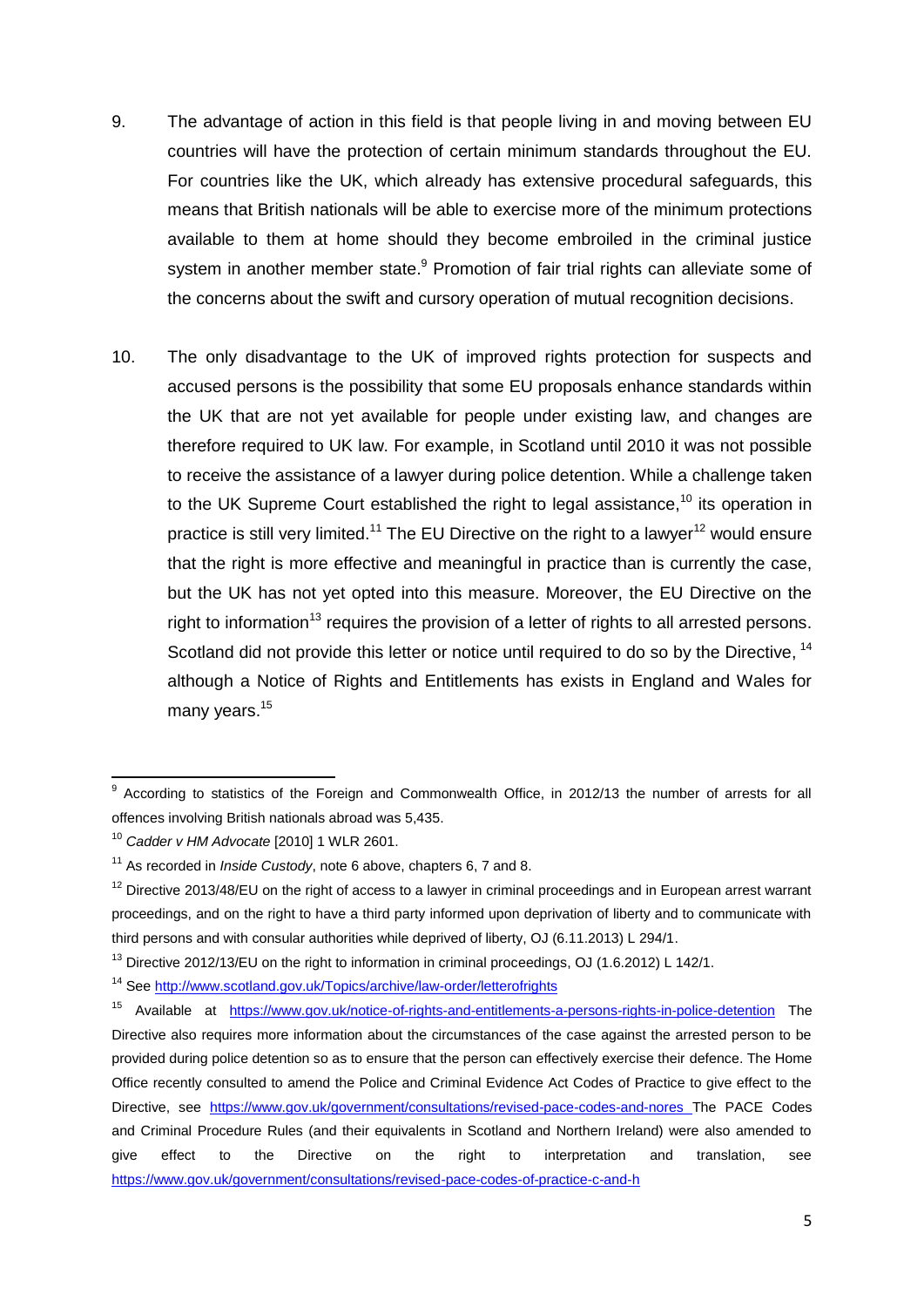- 9. The advantage of action in this field is that people living in and moving between EU countries will have the protection of certain minimum standards throughout the EU. For countries like the UK, which already has extensive procedural safeguards, this means that British nationals will be able to exercise more of the minimum protections available to them at home should they become embroiled in the criminal justice system in another member state.<sup>9</sup> Promotion of fair trial rights can alleviate some of the concerns about the swift and cursory operation of mutual recognition decisions.
- 10. The only disadvantage to the UK of improved rights protection for suspects and accused persons is the possibility that some EU proposals enhance standards within the UK that are not yet available for people under existing law, and changes are therefore required to UK law. For example, in Scotland until 2010 it was not possible to receive the assistance of a lawyer during police detention. While a challenge taken to the UK Supreme Court established the right to legal assistance.<sup>10</sup> its operation in practice is still very limited.<sup>11</sup> The EU Directive on the right to a lawyer<sup>12</sup> would ensure that the right is more effective and meaningful in practice than is currently the case, but the UK has not yet opted into this measure. Moreover, the EU Directive on the right to information<sup>13</sup> requires the provision of a letter of rights to all arrested persons. Scotland did not provide this letter or notice until required to do so by the Directive, <sup>14</sup> although a Notice of Rights and Entitlements has exists in England and Wales for many years.<sup>15</sup>

 9 According to statistics of the Foreign and Commonwealth Office, in 2012/13 the number of arrests for all offences involving British nationals abroad was 5,435.

<sup>10</sup> *Cadder v HM Advocate* [2010] 1 WLR 2601.

<sup>11</sup> As recorded in *Inside Custody*, note 6 above, chapters 6, 7 and 8.

 $12$  Directive 2013/48/EU on the right of access to a lawyer in criminal proceedings and in European arrest warrant proceedings, and on the right to have a third party informed upon deprivation of liberty and to communicate with third persons and with consular authorities while deprived of liberty, OJ (6.11.2013) L 294/1.

<sup>&</sup>lt;sup>13</sup> Directive 2012/13/EU on the right to information in criminal proceedings, OJ (1.6.2012) L 142/1.

<sup>14</sup> Se[e http://www.scotland.gov.uk/Topics/archive/law-order/letterofrights](http://www.scotland.gov.uk/Topics/archive/law-order/letterofrights) 

<sup>15</sup> Available at <https://www.gov.uk/notice-of-rights-and-entitlements-a-persons-rights-in-police-detention> The Directive also requires more information about the circumstances of the case against the arrested person to be provided during police detention so as to ensure that the person can effectively exercise their defence. The Home Office recently consulted to amend the Police and Criminal Evidence Act Codes of Practice to give effect to the Directive, see <https://www.gov.uk/government/consultations/revised-pace-codes-and-nores> The PACE Codes and Criminal Procedure Rules (and their equivalents in Scotland and Northern Ireland) were also amended to give effect to the Directive on the right to interpretation and translation, see <https://www.gov.uk/government/consultations/revised-pace-codes-of-practice-c-and-h>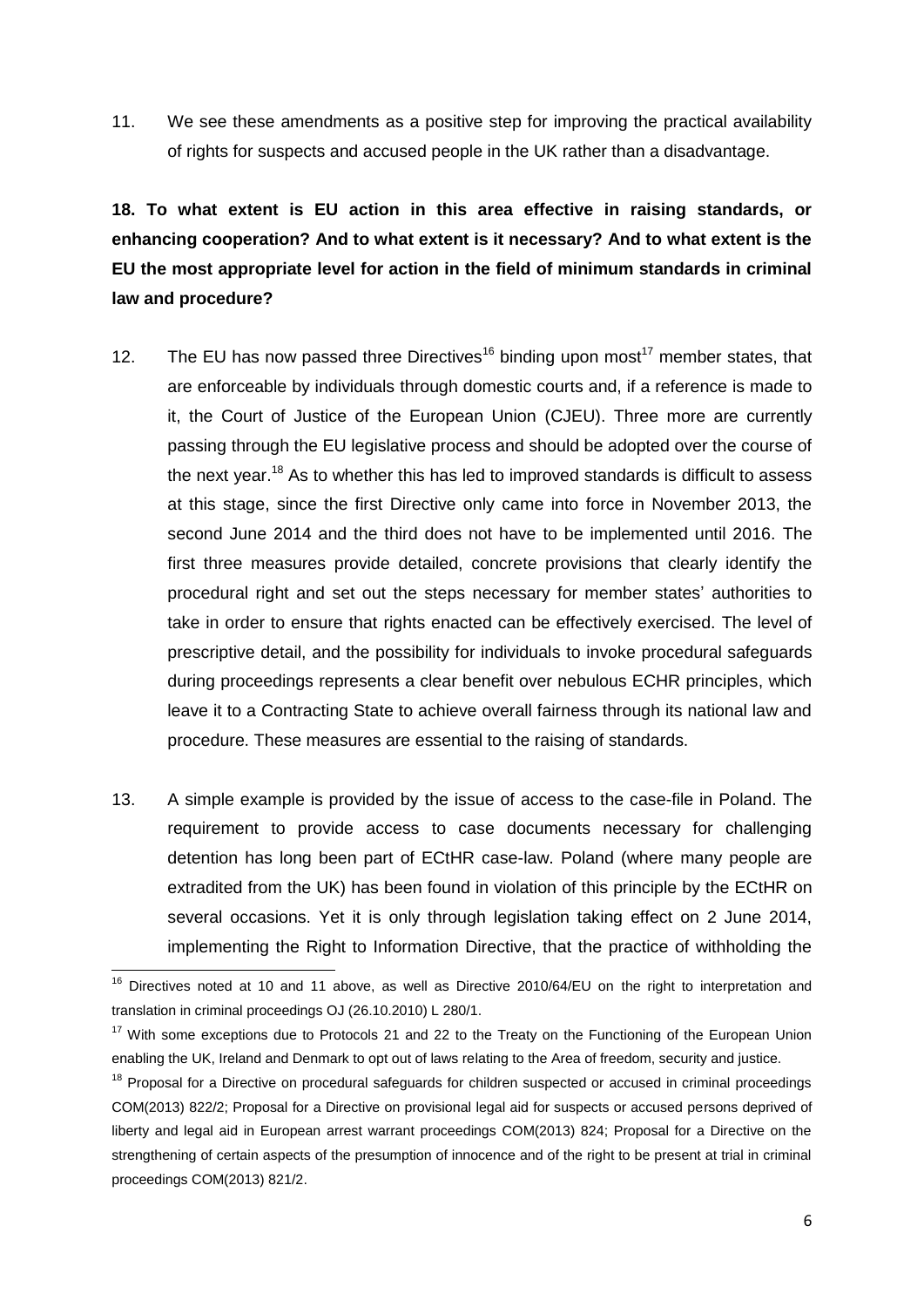11. We see these amendments as a positive step for improving the practical availability of rights for suspects and accused people in the UK rather than a disadvantage.

**18. To what extent is EU action in this area effective in raising standards, or enhancing cooperation? And to what extent is it necessary? And to what extent is the EU the most appropriate level for action in the field of minimum standards in criminal law and procedure?**

- 12. The EU has now passed three Directives<sup>16</sup> binding upon most<sup>17</sup> member states, that are enforceable by individuals through domestic courts and, if a reference is made to it, the Court of Justice of the European Union (CJEU). Three more are currently passing through the EU legislative process and should be adopted over the course of the next year.<sup>18</sup> As to whether this has led to improved standards is difficult to assess at this stage, since the first Directive only came into force in November 2013, the second June 2014 and the third does not have to be implemented until 2016. The first three measures provide detailed, concrete provisions that clearly identify the procedural right and set out the steps necessary for member states' authorities to take in order to ensure that rights enacted can be effectively exercised. The level of prescriptive detail, and the possibility for individuals to invoke procedural safeguards during proceedings represents a clear benefit over nebulous ECHR principles, which leave it to a Contracting State to achieve overall fairness through its national law and procedure. These measures are essential to the raising of standards.
- 13. A simple example is provided by the issue of access to the case-file in Poland. The requirement to provide access to case documents necessary for challenging detention has long been part of ECtHR case-law. Poland (where many people are extradited from the UK) has been found in violation of this principle by the ECtHR on several occasions. Yet it is only through legislation taking effect on 2 June 2014, implementing the Right to Information Directive, that the practice of withholding the

 $16$  Directives noted at 10 and 11 above, as well as Directive 2010/64/EU on the right to interpretation and translation in criminal proceedings OJ (26.10.2010) L 280/1.

 $17$  With some exceptions due to Protocols 21 and 22 to the Treaty on the Functioning of the European Union enabling the UK, Ireland and Denmark to opt out of laws relating to the Area of freedom, security and justice.

<sup>&</sup>lt;sup>18</sup> Proposal for a Directive on procedural safeguards for children suspected or accused in criminal proceedings COM(2013) 822/2; Proposal for a Directive on provisional legal aid for suspects or accused persons deprived of liberty and legal aid in European arrest warrant proceedings COM(2013) 824; Proposal for a Directive on the strengthening of certain aspects of the presumption of innocence and of the right to be present at trial in criminal proceedings COM(2013) 821/2.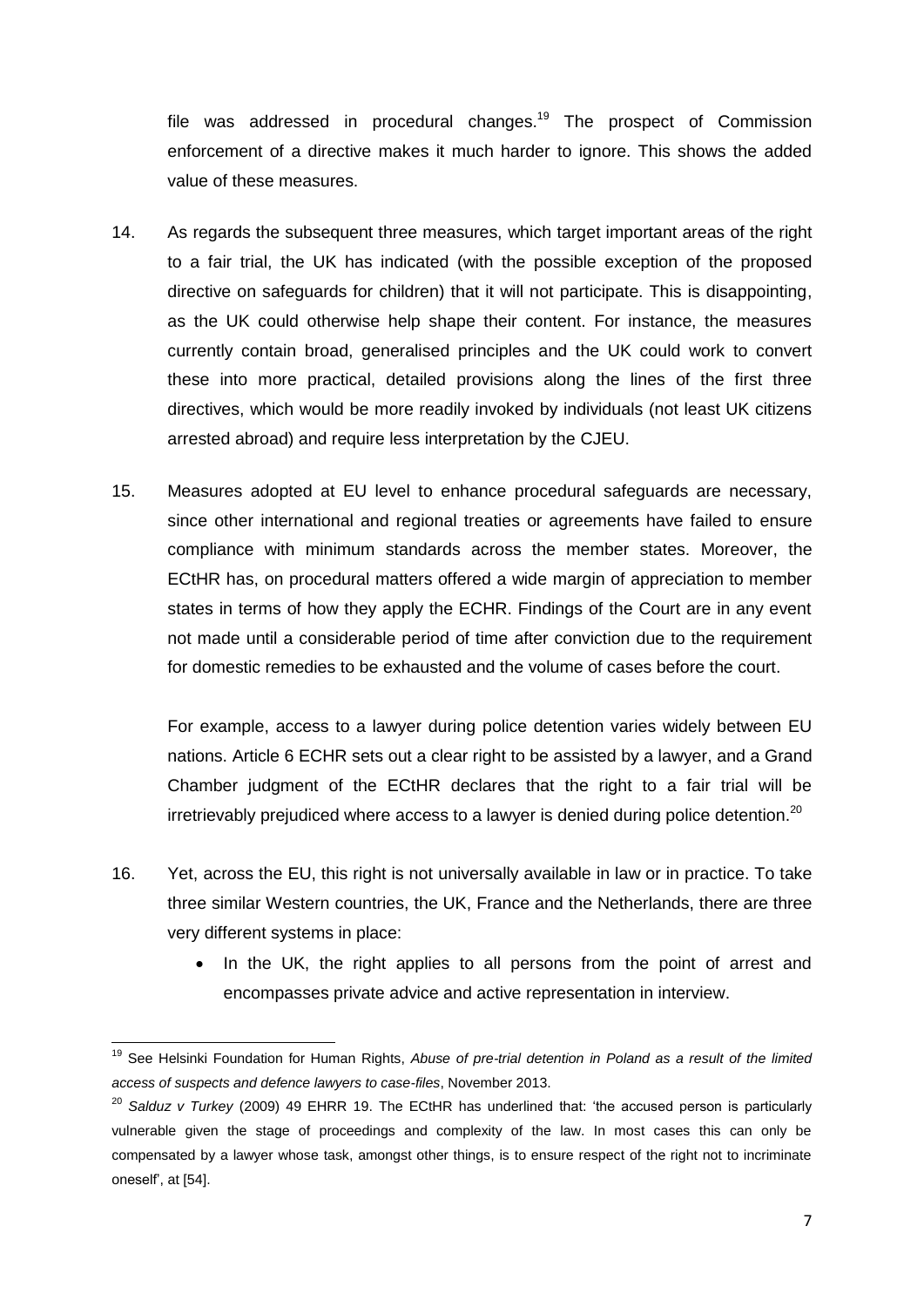file was addressed in procedural changes.<sup>19</sup> The prospect of Commission enforcement of a directive makes it much harder to ignore. This shows the added value of these measures.

- 14. As regards the subsequent three measures, which target important areas of the right to a fair trial, the UK has indicated (with the possible exception of the proposed directive on safeguards for children) that it will not participate. This is disappointing, as the UK could otherwise help shape their content. For instance, the measures currently contain broad, generalised principles and the UK could work to convert these into more practical, detailed provisions along the lines of the first three directives, which would be more readily invoked by individuals (not least UK citizens arrested abroad) and require less interpretation by the CJEU.
- 15. Measures adopted at EU level to enhance procedural safeguards are necessary, since other international and regional treaties or agreements have failed to ensure compliance with minimum standards across the member states. Moreover, the ECtHR has, on procedural matters offered a wide margin of appreciation to member states in terms of how they apply the ECHR. Findings of the Court are in any event not made until a considerable period of time after conviction due to the requirement for domestic remedies to be exhausted and the volume of cases before the court.

For example, access to a lawyer during police detention varies widely between EU nations. Article 6 ECHR sets out a clear right to be assisted by a lawyer, and a Grand Chamber judgment of the ECtHR declares that the right to a fair trial will be irretrievably prejudiced where access to a lawyer is denied during police detention.<sup>20</sup>

- 16. Yet, across the EU, this right is not universally available in law or in practice. To take three similar Western countries, the UK, France and the Netherlands, there are three very different systems in place:
	- In the UK, the right applies to all persons from the point of arrest and encompasses private advice and active representation in interview.

<sup>19</sup> See Helsinki Foundation for Human Rights, *Abuse of pre-trial detention in Poland as a result of the limited access of suspects and defence lawyers to case-files*, November 2013.

<sup>&</sup>lt;sup>20</sup> Salduz v Turkey (2009) 49 EHRR 19. The ECtHR has underlined that: 'the accused person is particularly vulnerable given the stage of proceedings and complexity of the law. In most cases this can only be compensated by a lawyer whose task, amongst other things, is to ensure respect of the right not to incriminate oneself', at [54].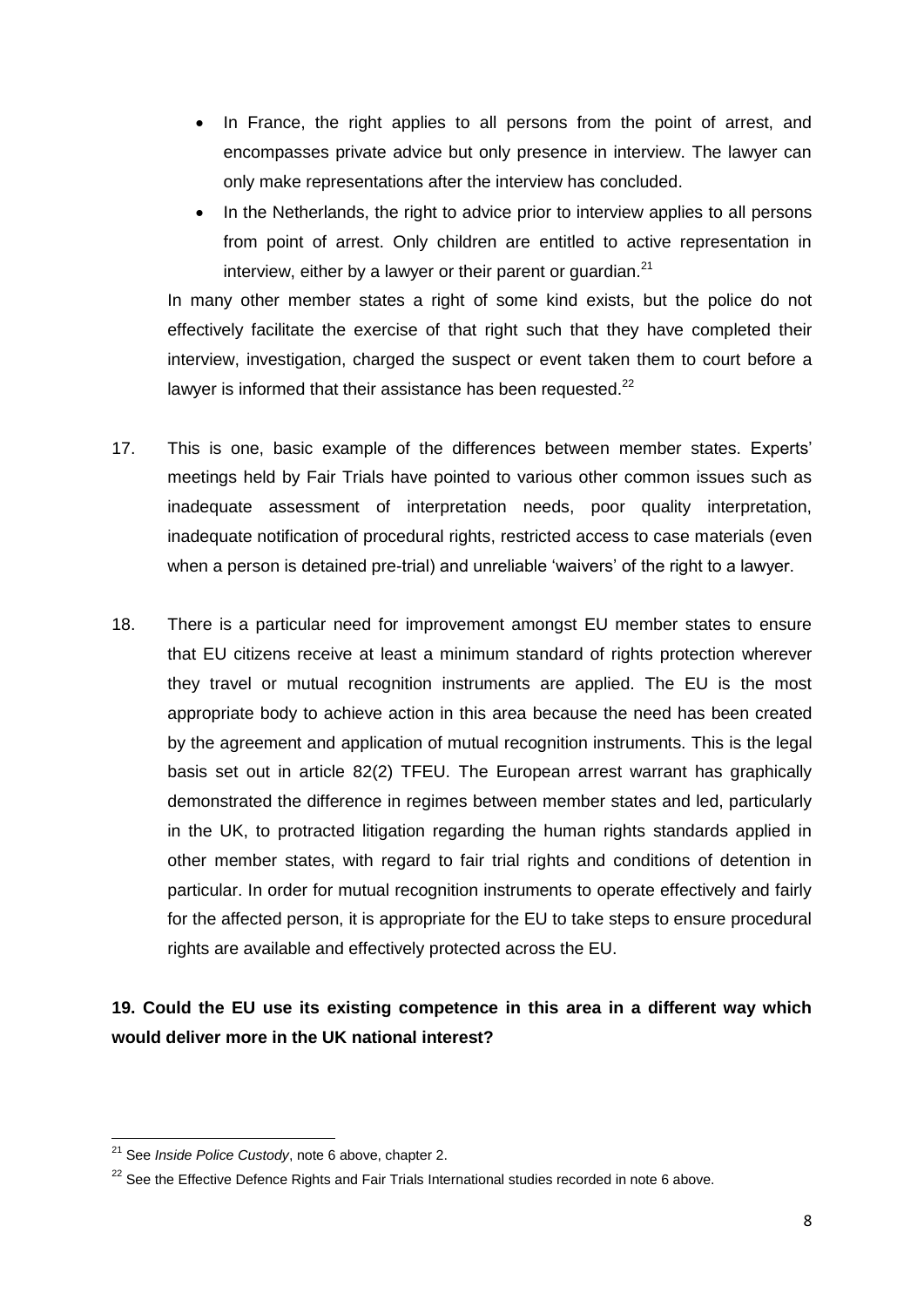- In France, the right applies to all persons from the point of arrest, and encompasses private advice but only presence in interview. The lawyer can only make representations after the interview has concluded.
- In the Netherlands, the right to advice prior to interview applies to all persons from point of arrest. Only children are entitled to active representation in interview, either by a lawyer or their parent or quardian. $^{21}$

In many other member states a right of some kind exists, but the police do not effectively facilitate the exercise of that right such that they have completed their interview, investigation, charged the suspect or event taken them to court before a lawyer is informed that their assistance has been requested. $^{22}$ 

- 17. This is one, basic example of the differences between member states. Experts' meetings held by Fair Trials have pointed to various other common issues such as inadequate assessment of interpretation needs, poor quality interpretation, inadequate notification of procedural rights, restricted access to case materials (even when a person is detained pre-trial) and unreliable 'waivers' of the right to a lawyer.
- 18. There is a particular need for improvement amongst EU member states to ensure that EU citizens receive at least a minimum standard of rights protection wherever they travel or mutual recognition instruments are applied. The EU is the most appropriate body to achieve action in this area because the need has been created by the agreement and application of mutual recognition instruments. This is the legal basis set out in article 82(2) TFEU. The European arrest warrant has graphically demonstrated the difference in regimes between member states and led, particularly in the UK, to protracted litigation regarding the human rights standards applied in other member states, with regard to fair trial rights and conditions of detention in particular. In order for mutual recognition instruments to operate effectively and fairly for the affected person, it is appropriate for the EU to take steps to ensure procedural rights are available and effectively protected across the EU.

## **19. Could the EU use its existing competence in this area in a different way which would deliver more in the UK national interest?**

 $\overline{a}$ <sup>21</sup> See *Inside Police Custody*, note 6 above, chapter 2.

<sup>&</sup>lt;sup>22</sup> See the Effective Defence Rights and Fair Trials International studies recorded in note 6 above.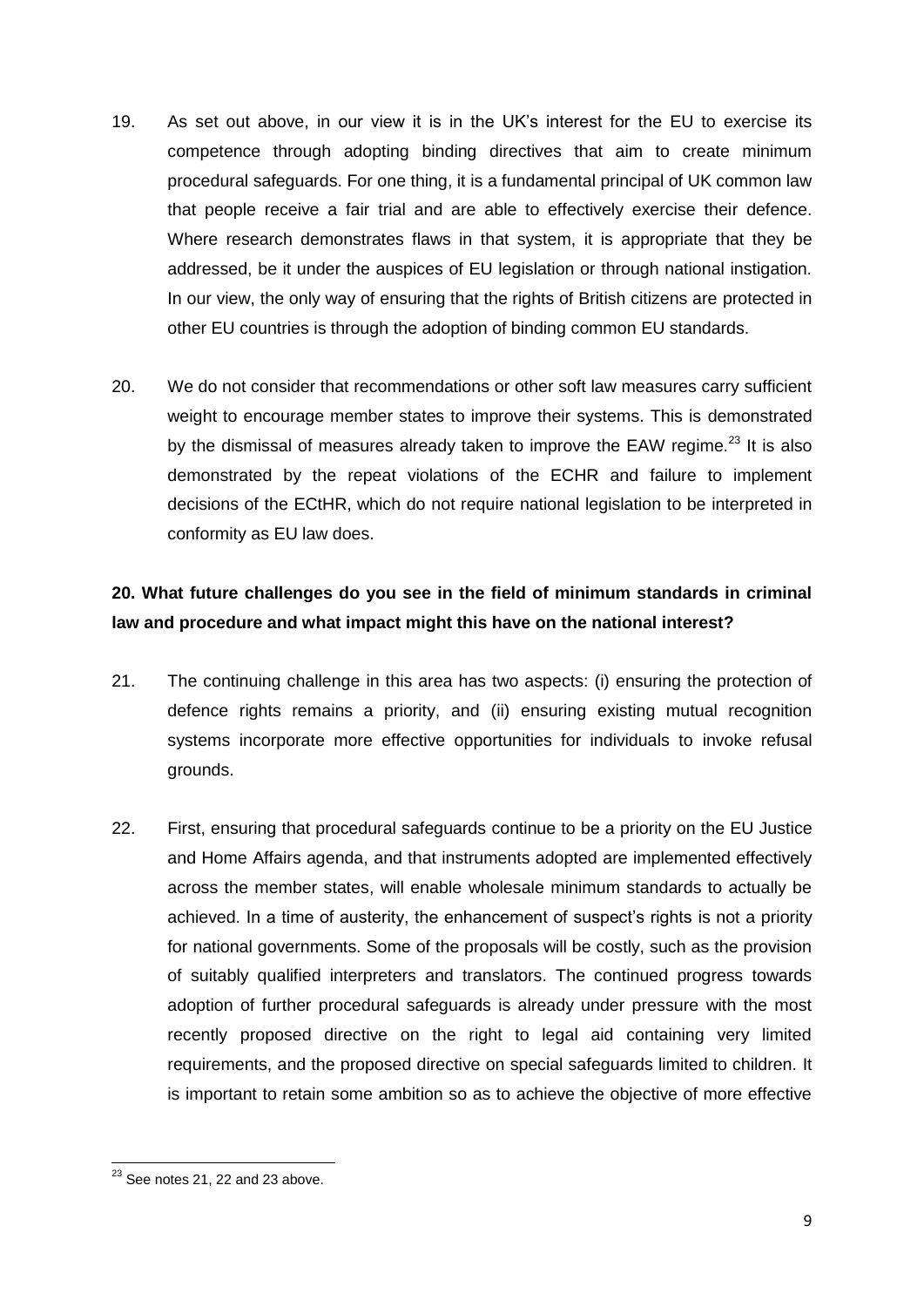- 19. As set out above, in our view it is in the UK's interest for the EU to exercise its competence through adopting binding directives that aim to create minimum procedural safeguards. For one thing, it is a fundamental principal of UK common law that people receive a fair trial and are able to effectively exercise their defence. Where research demonstrates flaws in that system, it is appropriate that they be addressed, be it under the auspices of EU legislation or through national instigation. In our view, the only way of ensuring that the rights of British citizens are protected in other EU countries is through the adoption of binding common EU standards.
- 20. We do not consider that recommendations or other soft law measures carry sufficient weight to encourage member states to improve their systems. This is demonstrated by the dismissal of measures already taken to improve the EAW regime.<sup>23</sup> It is also demonstrated by the repeat violations of the ECHR and failure to implement decisions of the ECtHR, which do not require national legislation to be interpreted in conformity as EU law does.

#### **20. What future challenges do you see in the field of minimum standards in criminal law and procedure and what impact might this have on the national interest?**

- 21. The continuing challenge in this area has two aspects: (i) ensuring the protection of defence rights remains a priority, and (ii) ensuring existing mutual recognition systems incorporate more effective opportunities for individuals to invoke refusal grounds.
- 22. First, ensuring that procedural safeguards continue to be a priority on the EU Justice and Home Affairs agenda, and that instruments adopted are implemented effectively across the member states, will enable wholesale minimum standards to actually be achieved. In a time of austerity, the enhancement of suspect's rights is not a priority for national governments. Some of the proposals will be costly, such as the provision of suitably qualified interpreters and translators. The continued progress towards adoption of further procedural safeguards is already under pressure with the most recently proposed directive on the right to legal aid containing very limited requirements, and the proposed directive on special safeguards limited to children. It is important to retain some ambition so as to achieve the objective of more effective

**<sup>.</sup>**  $23$  See notes 21, 22 and 23 above.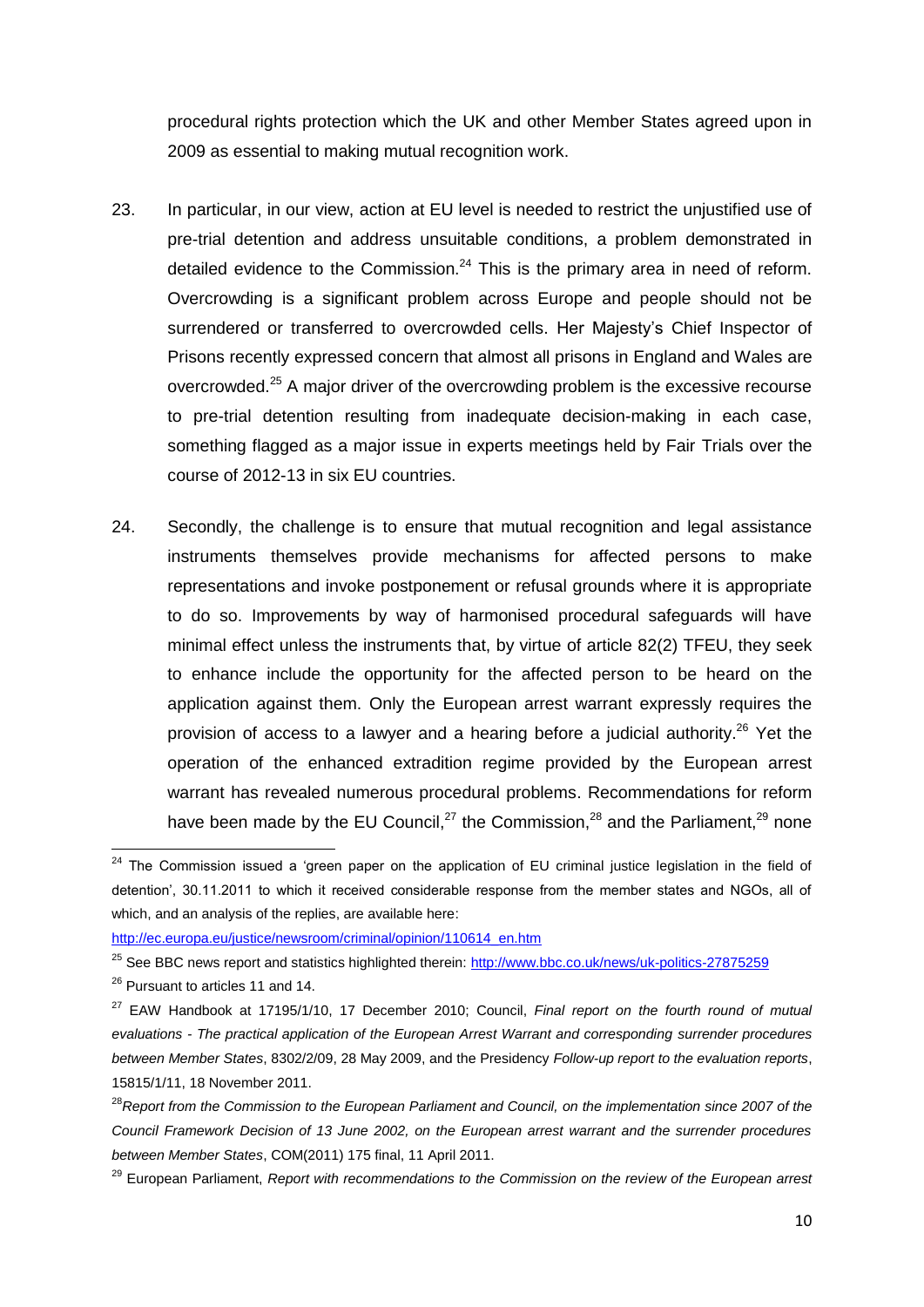procedural rights protection which the UK and other Member States agreed upon in 2009 as essential to making mutual recognition work.

- 23. In particular, in our view, action at EU level is needed to restrict the unjustified use of pre-trial detention and address unsuitable conditions, a problem demonstrated in detailed evidence to the Commission.<sup>24</sup> This is the primary area in need of reform. Overcrowding is a significant problem across Europe and people should not be surrendered or transferred to overcrowded cells. Her Majesty's Chief Inspector of Prisons recently expressed concern that almost all prisons in England and Wales are overcrowded.<sup>25</sup> A major driver of the overcrowding problem is the excessive recourse to pre-trial detention resulting from inadequate decision-making in each case, something flagged as a major issue in experts meetings held by Fair Trials over the course of 2012-13 in six EU countries.
- 24. Secondly, the challenge is to ensure that mutual recognition and legal assistance instruments themselves provide mechanisms for affected persons to make representations and invoke postponement or refusal grounds where it is appropriate to do so. Improvements by way of harmonised procedural safeguards will have minimal effect unless the instruments that, by virtue of article 82(2) TFEU, they seek to enhance include the opportunity for the affected person to be heard on the application against them. Only the European arrest warrant expressly requires the provision of access to a lawyer and a hearing before a judicial authority.<sup>26</sup> Yet the operation of the enhanced extradition regime provided by the European arrest warrant has revealed numerous procedural problems. Recommendations for reform have been made by the EU Council,<sup>27</sup> the Commission,<sup>28</sup> and the Parliament,<sup>29</sup> none

 $24$  The Commission issued a 'green paper on the application of EU criminal justice legislation in the field of detention', 30.11.2011 to which it received considerable response from the member states and NGOs, all of which, and an analysis of the replies, are available here:

[http://ec.europa.eu/justice/newsroom/criminal/opinion/110614\\_en.htm](http://ec.europa.eu/justice/newsroom/criminal/opinion/110614_en.htm)

<sup>&</sup>lt;sup>25</sup> See BBC news report and statistics highlighted therein:<http://www.bbc.co.uk/news/uk-politics-27875259>

<sup>&</sup>lt;sup>26</sup> Pursuant to articles 11 and 14.

<sup>27</sup> EAW Handbook at 17195/1/10, 17 December 2010; Council, *Final report on the fourth round of mutual evaluations - The practical application of the European Arrest Warrant and corresponding surrender procedures between Member States*, 8302/2/09, 28 May 2009, and the Presidency *Follow-up report to the evaluation reports*, 15815/1/11, 18 November 2011.

<sup>28</sup>*Report from the Commission to the European Parliament and Council, on the implementation since 2007 of the Council Framework Decision of 13 June 2002, on the European arrest warrant and the surrender procedures between Member States*, COM(2011) 175 final, 11 April 2011.

<sup>29</sup> European Parliament, *Report with recommendations to the Commission on the review of the European arrest*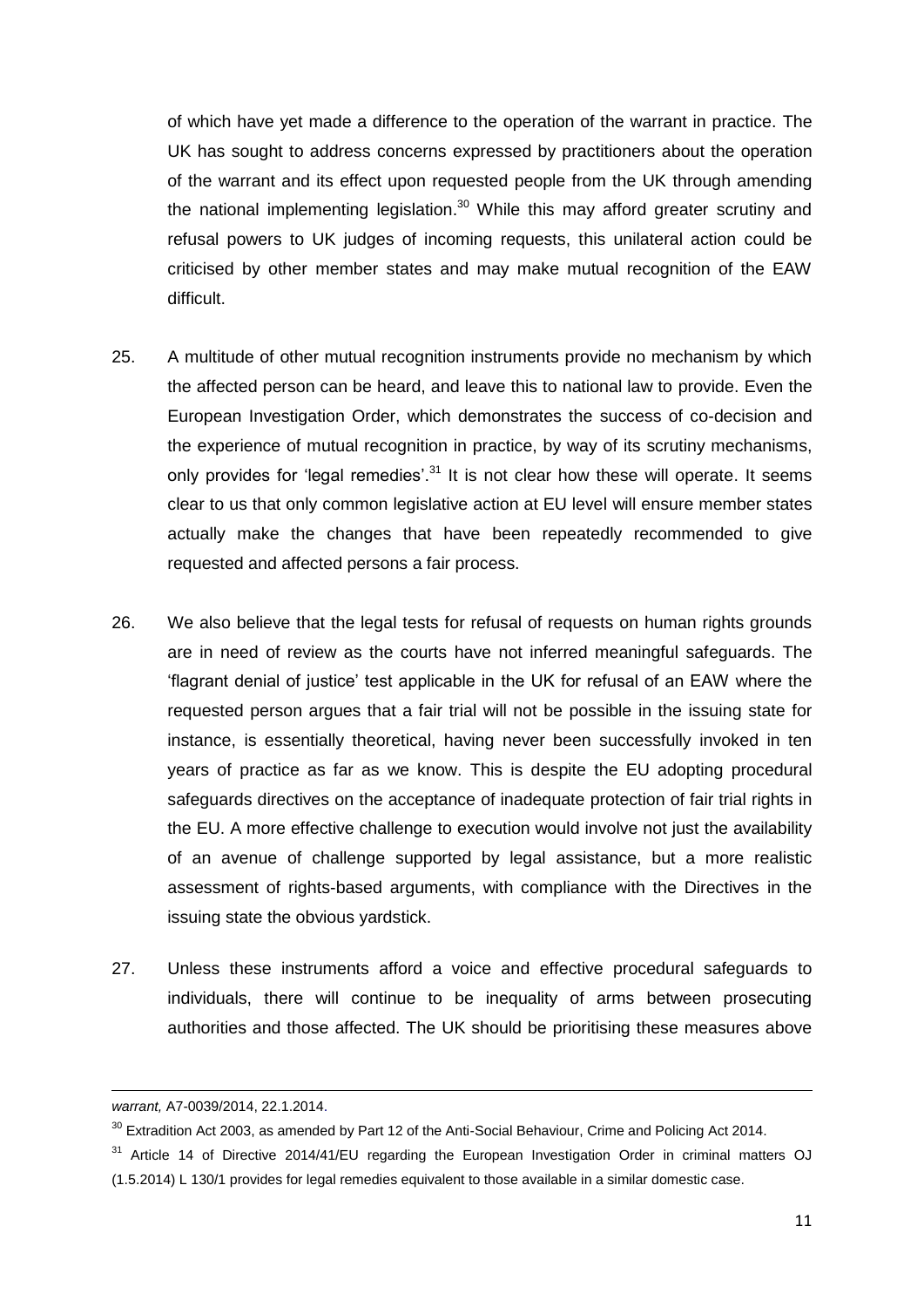of which have yet made a difference to the operation of the warrant in practice. The UK has sought to address concerns expressed by practitioners about the operation of the warrant and its effect upon requested people from the UK through amending the national implementing legislation.<sup>30</sup> While this may afford greater scrutiny and refusal powers to UK judges of incoming requests, this unilateral action could be criticised by other member states and may make mutual recognition of the EAW difficult.

- 25. A multitude of other mutual recognition instruments provide no mechanism by which the affected person can be heard, and leave this to national law to provide. Even the European Investigation Order, which demonstrates the success of co-decision and the experience of mutual recognition in practice, by way of its scrutiny mechanisms, only provides for 'legal remedies'.<sup>31</sup> It is not clear how these will operate. It seems clear to us that only common legislative action at EU level will ensure member states actually make the changes that have been repeatedly recommended to give requested and affected persons a fair process.
- 26. We also believe that the legal tests for refusal of requests on human rights grounds are in need of review as the courts have not inferred meaningful safeguards. The 'flagrant denial of justice' test applicable in the UK for refusal of an EAW where the requested person argues that a fair trial will not be possible in the issuing state for instance, is essentially theoretical, having never been successfully invoked in ten years of practice as far as we know. This is despite the EU adopting procedural safeguards directives on the acceptance of inadequate protection of fair trial rights in the EU. A more effective challenge to execution would involve not just the availability of an avenue of challenge supported by legal assistance, but a more realistic assessment of rights-based arguments, with compliance with the Directives in the issuing state the obvious yardstick.
- 27. Unless these instruments afford a voice and effective procedural safeguards to individuals, there will continue to be inequality of arms between prosecuting authorities and those affected. The UK should be prioritising these measures above

 $\overline{\phantom{a}}$ 

*warrant,* A7-0039/2014, 22.1.2014.

 $30$  Extradition Act 2003, as amended by Part 12 of the Anti-Social Behaviour, Crime and Policing Act 2014.

<sup>&</sup>lt;sup>31</sup> Article 14 of Directive 2014/41/EU regarding the European Investigation Order in criminal matters OJ (1.5.2014) L 130/1 provides for legal remedies equivalent to those available in a similar domestic case.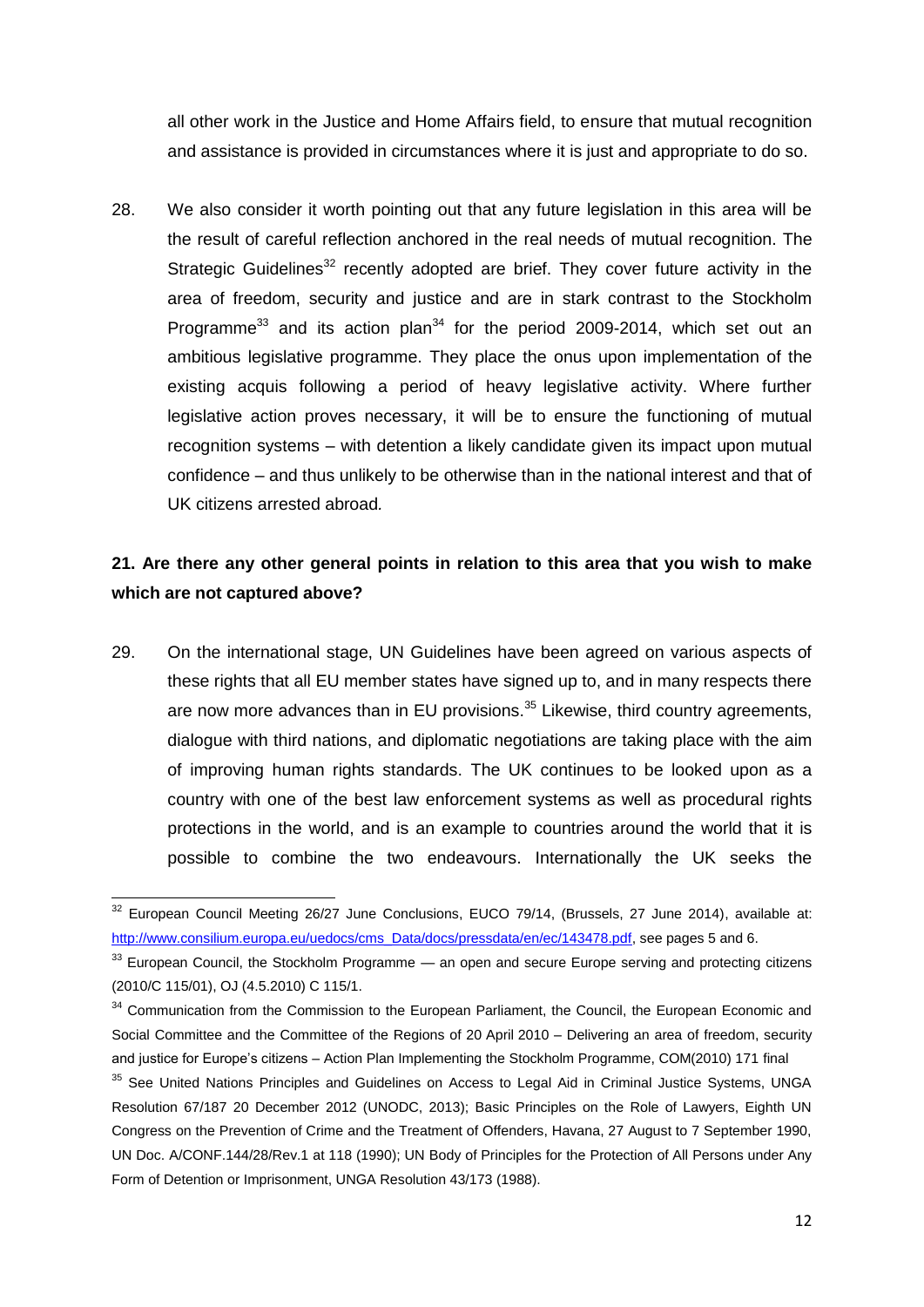all other work in the Justice and Home Affairs field, to ensure that mutual recognition and assistance is provided in circumstances where it is just and appropriate to do so.

28. We also consider it worth pointing out that any future legislation in this area will be the result of careful reflection anchored in the real needs of mutual recognition. The Strategic Guidelines<sup>32</sup> recently adopted are brief. They cover future activity in the area of freedom, security and justice and are in stark contrast to the Stockholm Programme<sup>33</sup> and its action plan<sup>34</sup> for the period 2009-2014, which set out an ambitious legislative programme. They place the onus upon implementation of the existing acquis following a period of heavy legislative activity. Where further legislative action proves necessary, it will be to ensure the functioning of mutual recognition systems – with detention a likely candidate given its impact upon mutual confidence – and thus unlikely to be otherwise than in the national interest and that of UK citizens arrested abroad*.*

#### **21. Are there any other general points in relation to this area that you wish to make which are not captured above?**

29. On the international stage, UN Guidelines have been agreed on various aspects of these rights that all EU member states have signed up to, and in many respects there are now more advances than in EU provisions.<sup>35</sup> Likewise, third country agreements, dialogue with third nations, and diplomatic negotiations are taking place with the aim of improving human rights standards. The UK continues to be looked upon as a country with one of the best law enforcement systems as well as procedural rights protections in the world, and is an example to countries around the world that it is possible to combine the two endeavours. Internationally the UK seeks the

 $\overline{a}$  $32$  European Council Meeting 26/27 June Conclusions, EUCO 79/14, (Brussels, 27 June 2014), available at: [http://www.consilium.europa.eu/uedocs/cms\\_Data/docs/pressdata/en/ec/143478.pdf,](http://www.consilium.europa.eu/uedocs/cms_Data/docs/pressdata/en/ec/143478.pdf) see pages 5 and 6.

<sup>&</sup>lt;sup>33</sup> European Council, the Stockholm Programme — an open and secure Europe serving and protecting citizens (2010/C 115/01), OJ (4.5.2010) C 115/1.

<sup>&</sup>lt;sup>34</sup> Communication from the Commission to the European Parliament, the Council, the European Economic and Social Committee and the Committee of the Regions of 20 April 2010 – Delivering an area of freedom, security and justice for Europe's citizens – Action Plan Implementing the Stockholm Programme, COM(2010) 171 final

<sup>&</sup>lt;sup>35</sup> See United Nations Principles and Guidelines on Access to Legal Aid in Criminal Justice Systems, UNGA Resolution 67/187 20 December 2012 (UNODC, 2013); Basic Principles on the Role of Lawyers, Eighth UN Congress on the Prevention of Crime and the Treatment of Offenders, Havana, 27 August to 7 September 1990, UN Doc. A/CONF.144/28/Rev.1 at 118 (1990); UN Body of Principles for the Protection of All Persons under Any Form of Detention or Imprisonment, UNGA Resolution 43/173 (1988).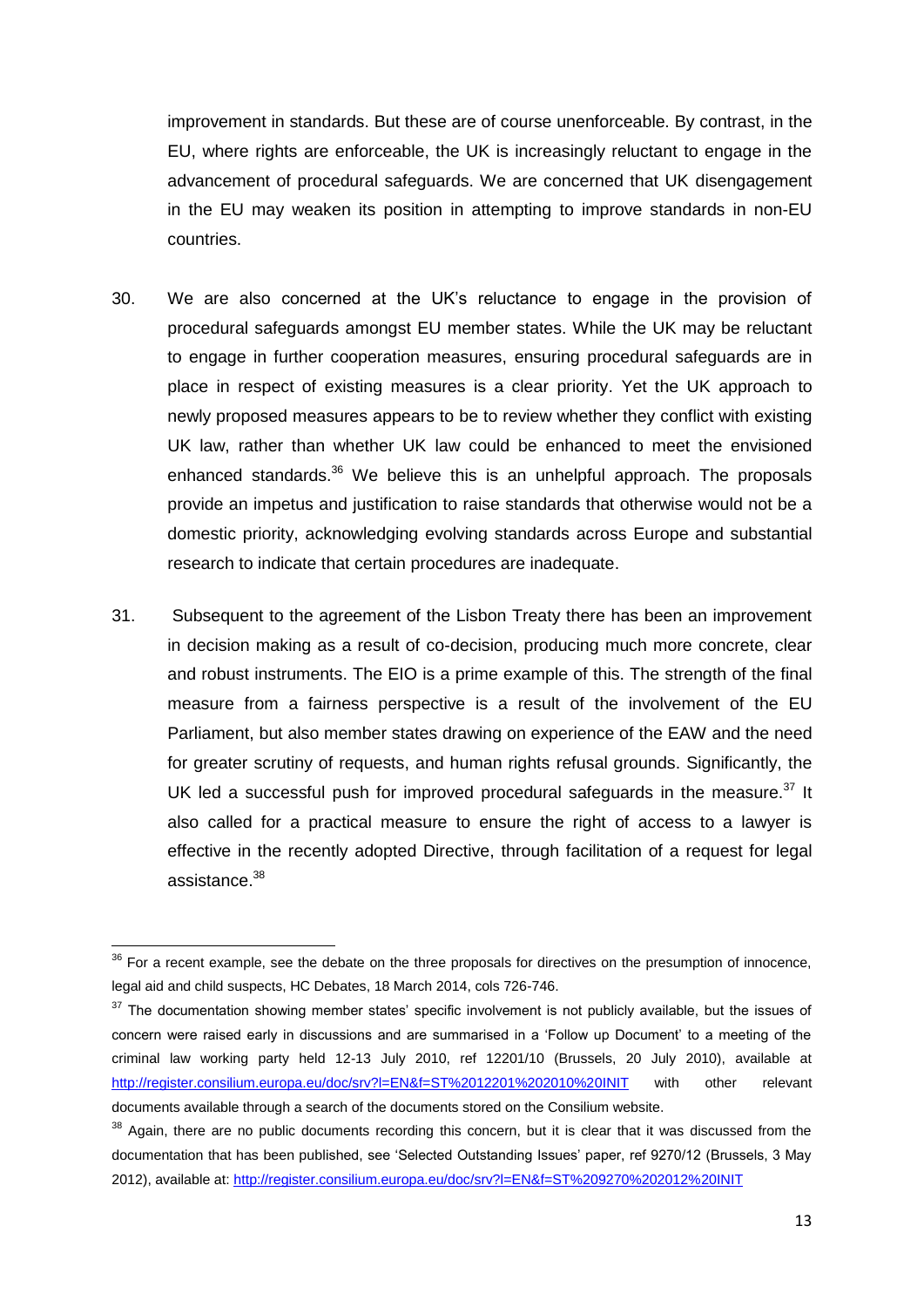improvement in standards. But these are of course unenforceable. By contrast, in the EU, where rights are enforceable, the UK is increasingly reluctant to engage in the advancement of procedural safeguards. We are concerned that UK disengagement in the EU may weaken its position in attempting to improve standards in non-EU countries.

- 30. We are also concerned at the UK's reluctance to engage in the provision of procedural safeguards amongst EU member states. While the UK may be reluctant to engage in further cooperation measures, ensuring procedural safeguards are in place in respect of existing measures is a clear priority. Yet the UK approach to newly proposed measures appears to be to review whether they conflict with existing UK law, rather than whether UK law could be enhanced to meet the envisioned enhanced standards. $36$  We believe this is an unhelpful approach. The proposals provide an impetus and justification to raise standards that otherwise would not be a domestic priority, acknowledging evolving standards across Europe and substantial research to indicate that certain procedures are inadequate.
- 31. Subsequent to the agreement of the Lisbon Treaty there has been an improvement in decision making as a result of co-decision, producing much more concrete, clear and robust instruments. The EIO is a prime example of this. The strength of the final measure from a fairness perspective is a result of the involvement of the EU Parliament, but also member states drawing on experience of the EAW and the need for greater scrutiny of requests, and human rights refusal grounds. Significantly, the UK led a successful push for improved procedural safeguards in the measure.<sup>37</sup> It also called for a practical measure to ensure the right of access to a lawyer is effective in the recently adopted Directive, through facilitation of a request for legal assistance.<sup>38</sup>

 $36$  For a recent example, see the debate on the three proposals for directives on the presumption of innocence, legal aid and child suspects, HC Debates, 18 March 2014, cols 726-746.

 $37$  The documentation showing member states' specific involvement is not publicly available, but the issues of concern were raised early in discussions and are summarised in a 'Follow up Document' to a meeting of the criminal law working party held 12-13 July 2010, ref 12201/10 (Brussels, 20 July 2010), available at <http://register.consilium.europa.eu/doc/srv?l=EN&f=ST%2012201%202010%20INIT> with other relevant documents available through a search of the documents stored on the Consilium website.

<sup>&</sup>lt;sup>38</sup> Again, there are no public documents recording this concern, but it is clear that it was discussed from the documentation that has been published, see 'Selected Outstanding Issues' paper, ref 9270/12 (Brussels, 3 May 2012), available at[: http://register.consilium.europa.eu/doc/srv?l=EN&f=ST%209270%202012%20INIT](http://register.consilium.europa.eu/doc/srv?l=EN&f=ST%209270%202012%20INIT)